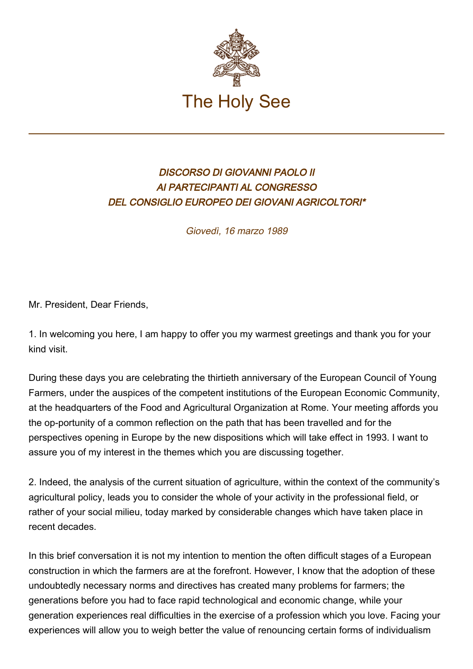

## DISCORSO DI GIOVANNI PAOLO II AI PARTECIPANTI AL CONGRESSO DEL CONSIGLIO EUROPEO DEI GIOVANI AGRICOLTORI\*

Giovedì, 16 marzo 1989

Mr. President, Dear Friends,

1. In welcoming you here, I am happy to offer you my warmest greetings and thank you for your kind visit.

During these days you are celebrating the thirtieth anniversary of the European Council of Young Farmers, under the auspices of the competent institutions of the European Economic Community, at the headquarters of the Food and Agricultural Organization at Rome. Your meeting affords you the op-portunity of a common reflection on the path that has been travelled and for the perspectives opening in Europe by the new dispositions which will take effect in 1993. I want to assure you of my interest in the themes which you are discussing together.

2. Indeed, the analysis of the current situation of agriculture, within the context of the community's agricultural policy, leads you to consider the whole of your activity in the professional field, or rather of your social milieu, today marked by considerable changes which have taken place in recent decades.

In this brief conversation it is not my intention to mention the often difficult stages of a European construction in which the farmers are at the forefront. However, I know that the adoption of these undoubtedly necessary norms and directives has created many problems for farmers; the generations before you had to face rapid technological and economic change, while your generation experiences real difficulties in the exercise of a profession which you love. Facing your experiences will allow you to weigh better the value of renouncing certain forms of individualism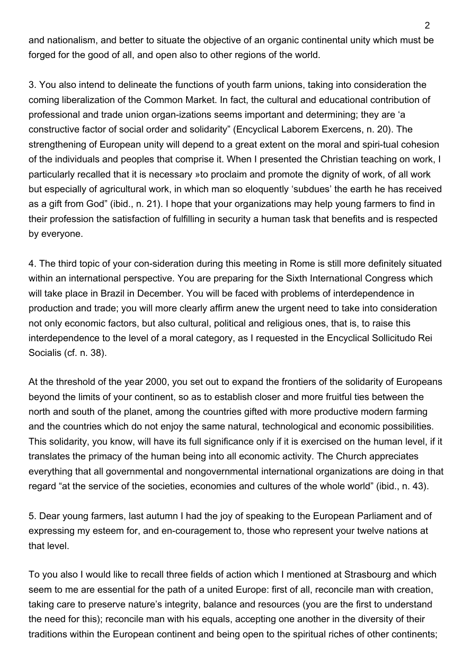and nationalism, and better to situate the objective of an organic continental unity which must be forged for the good of all, and open also to other regions of the world.

3. You also intend to delineate the functions of youth farm unions, taking into consideration the coming liberalization of the Common Market. In fact, the cultural and educational contribution of professional and trade union organ-izations seems important and determining; they are 'a constructive factor of social order and solidarity" (Encyclical Laborem Exercens, n. 20). The strengthening of European unity will depend to a great extent on the moral and spiri-tual cohesion of the individuals and peoples that comprise it. When I presented the Christian teaching on work, I particularly recalled that it is necessary »to proclaim and promote the dignity of work, of all work but especially of agricultural work, in which man so eloquently 'subdues' the earth he has received as a gift from God" (ibid., n. 21). I hope that your organizations may help young farmers to find in their profession the satisfaction of fulfilling in security a human task that benefits and is respected by everyone.

4. The third topic of your con-sideration during this meeting in Rome is still more definitely situated within an international perspective. You are preparing for the Sixth International Congress which will take place in Brazil in December. You will be faced with problems of interdependence in production and trade; you will more clearly affirm anew the urgent need to take into consideration not only economic factors, but also cultural, political and religious ones, that is, to raise this interdependence to the level of a moral category, as I requested in the Encyclical Sollicitudo Rei Socialis (cf. n. 38).

At the threshold of the year 2000, you set out to expand the frontiers of the solidarity of Europeans beyond the limits of your continent, so as to establish closer and more fruitful ties between the north and south of the planet, among the countries gifted with more productive modern farming and the countries which do not enjoy the same natural, technological and economic possibilities. This solidarity, you know, will have its full significance only if it is exercised on the human level, if it translates the primacy of the human being into all economic activity. The Church appreciates everything that all governmental and nongovernmental international organizations are doing in that regard "at the service of the societies, economies and cultures of the whole world" (ibid., n. 43).

5. Dear young farmers, last autumn I had the joy of speaking to the European Parliament and of expressing my esteem for, and en-couragement to, those who represent your twelve nations at that level.

To you also I would like to recall three fields of action which I mentioned at Strasbourg and which seem to me are essential for the path of a united Europe: first of all, reconcile man with creation, taking care to preserve nature's integrity, balance and resources (you are the first to understand the need for this); reconcile man with his equals, accepting one another in the diversity of their traditions within the European continent and being open to the spiritual riches of other continents;